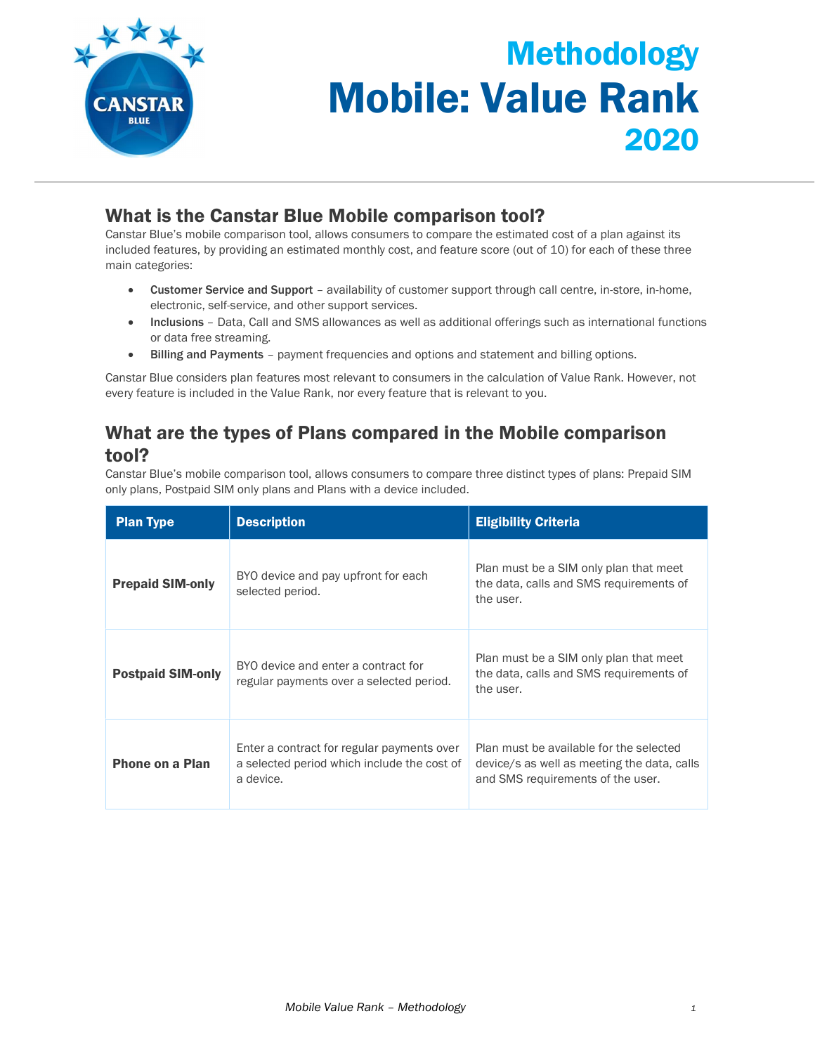

# Methodology Mobile: Value Rank 2020

## What is the Canstar Blue Mobile comparison tool?

Canstar Blue's mobile comparison tool, allows consumers to compare the estimated cost of a plan against its included features, by providing an estimated monthly cost, and feature score (out of 10) for each of these three main categories:

- Customer Service and Support availability of customer support through call centre, in-store, in-home, electronic, self-service, and other support services.
- Inclusions Data, Call and SMS allowances as well as additional offerings such as international functions or data free streaming.
- Billing and Payments payment frequencies and options and statement and billing options.

Canstar Blue considers plan features most relevant to consumers in the calculation of Value Rank. However, not every feature is included in the Value Rank, nor every feature that is relevant to you.

## What are the types of Plans compared in the Mobile comparison tool?

Canstar Blue's mobile comparison tool, allows consumers to compare three distinct types of plans: Prepaid SIM only plans, Postpaid SIM only plans and Plans with a device included.

| <b>Plan Type</b>         | <b>Description</b>                                                                                     | <b>Eligibility Criteria</b>                                                                                                 |  |
|--------------------------|--------------------------------------------------------------------------------------------------------|-----------------------------------------------------------------------------------------------------------------------------|--|
| <b>Prepaid SIM-only</b>  | BYO device and pay upfront for each<br>selected period.                                                | Plan must be a SIM only plan that meet<br>the data, calls and SMS requirements of<br>the user.                              |  |
| <b>Postpaid SIM-only</b> | BYO device and enter a contract for<br>regular payments over a selected period.                        | Plan must be a SIM only plan that meet<br>the data, calls and SMS requirements of<br>the user.                              |  |
| <b>Phone on a Plan</b>   | Enter a contract for regular payments over<br>a selected period which include the cost of<br>a device. | Plan must be available for the selected<br>device/s as well as meeting the data, calls<br>and SMS requirements of the user. |  |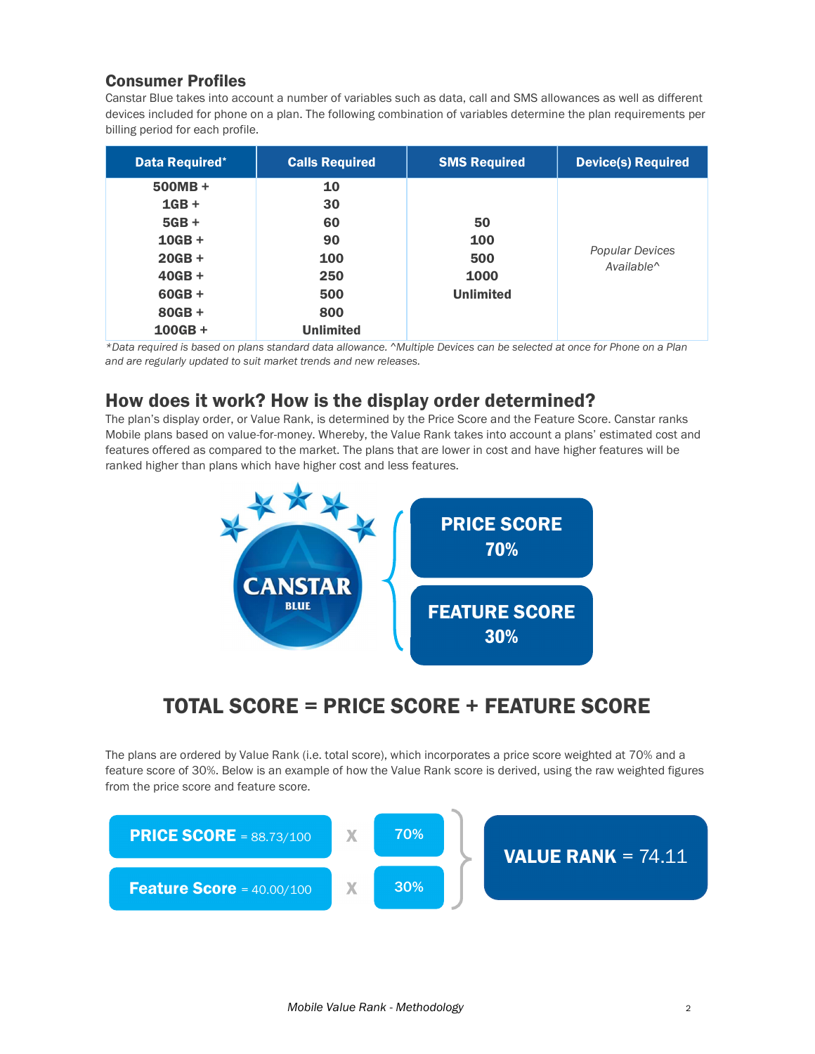#### Consumer Profiles

Canstar Blue takes into account a number of variables such as data, call and SMS allowances as well as different devices included for phone on a plan. The following combination of variables determine the plan requirements per billing period for each profile.

| <b>Data Required*</b> | <b>Calls Required</b> | <b>SMS Required</b> | <b>Device(s) Required</b>                 |
|-----------------------|-----------------------|---------------------|-------------------------------------------|
| $500MB +$             | 10                    |                     |                                           |
| $1GB +$               | 30                    |                     |                                           |
| $5GB +$               | 60                    | 50                  |                                           |
| $10GB +$              | 90                    | 100                 |                                           |
| $20GB +$              | 100                   | 500                 | Popular Devices<br>Available <sup>^</sup> |
| $40GB +$              | 250                   | 1000                |                                           |
| $60GB +$              | 500                   | <b>Unlimited</b>    |                                           |
| $80GB +$              | 800                   |                     |                                           |
| $100GB +$             | <b>Unlimited</b>      |                     |                                           |

\*Data required is based on plans standard data allowance. ^Multiple Devices can be selected at once for Phone on a Plan and are regularly updated to suit market trends and new releases.

## How does it work? How is the display order determined?

The plan's display order, or Value Rank, is determined by the Price Score and the Feature Score. Canstar ranks Mobile plans based on value-for-money. Whereby, the Value Rank takes into account a plans' estimated cost and features offered as compared to the market. The plans that are lower in cost and have higher features will be ranked higher than plans which have higher cost and less features.



## TOTAL SCORE = PRICE SCORE + FEATURE SCORE

The plans are ordered by Value Rank (i.e. total score), which incorporates a price score weighted at 70% and a feature score of 30%. Below is an example of how the Value Rank score is derived, using the raw weighted figures from the price score and feature score.

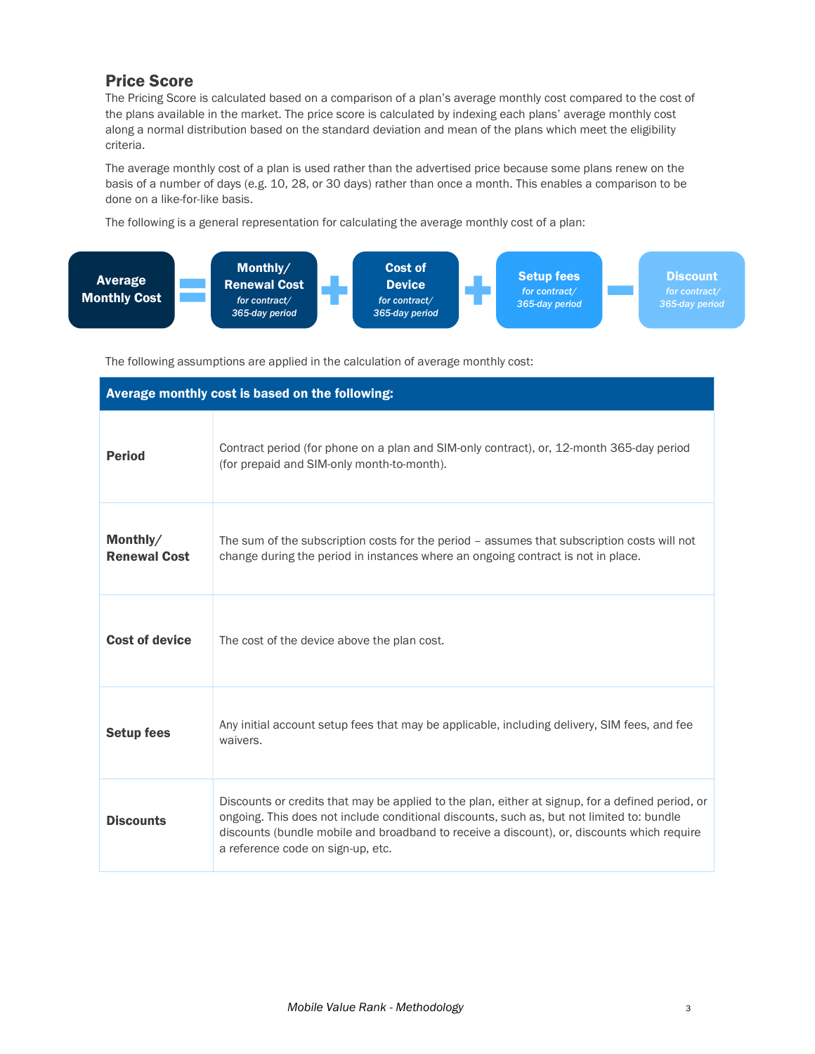#### Price Score

The Pricing Score is calculated based on a comparison of a plan's average monthly cost compared to the cost of the plans available in the market. The price score is calculated by indexing each plans' average monthly cost along a normal distribution based on the standard deviation and mean of the plans which meet the eligibility criteria.

The average monthly cost of a plan is used rather than the advertised price because some plans renew on the basis of a number of days (e.g. 10, 28, or 30 days) rather than once a month. This enables a comparison to be done on a like-for-like basis.

The following is a general representation for calculating the average monthly cost of a plan:



The following assumptions are applied in the calculation of average monthly cost:

| Average monthly cost is based on the following: |                                                                                                                                                                                                                                                                                                                                  |  |  |  |
|-------------------------------------------------|----------------------------------------------------------------------------------------------------------------------------------------------------------------------------------------------------------------------------------------------------------------------------------------------------------------------------------|--|--|--|
| <b>Period</b>                                   | Contract period (for phone on a plan and SIM-only contract), or, 12-month 365-day period<br>(for prepaid and SIM-only month-to-month).                                                                                                                                                                                           |  |  |  |
| Monthly/<br><b>Renewal Cost</b>                 | The sum of the subscription costs for the period - assumes that subscription costs will not<br>change during the period in instances where an ongoing contract is not in place.                                                                                                                                                  |  |  |  |
| <b>Cost of device</b>                           | The cost of the device above the plan cost.                                                                                                                                                                                                                                                                                      |  |  |  |
| <b>Setup fees</b>                               | Any initial account setup fees that may be applicable, including delivery, SIM fees, and fee<br>waivers.                                                                                                                                                                                                                         |  |  |  |
| <b>Discounts</b>                                | Discounts or credits that may be applied to the plan, either at signup, for a defined period, or<br>ongoing. This does not include conditional discounts, such as, but not limited to: bundle<br>discounts (bundle mobile and broadband to receive a discount), or, discounts which require<br>a reference code on sign-up, etc. |  |  |  |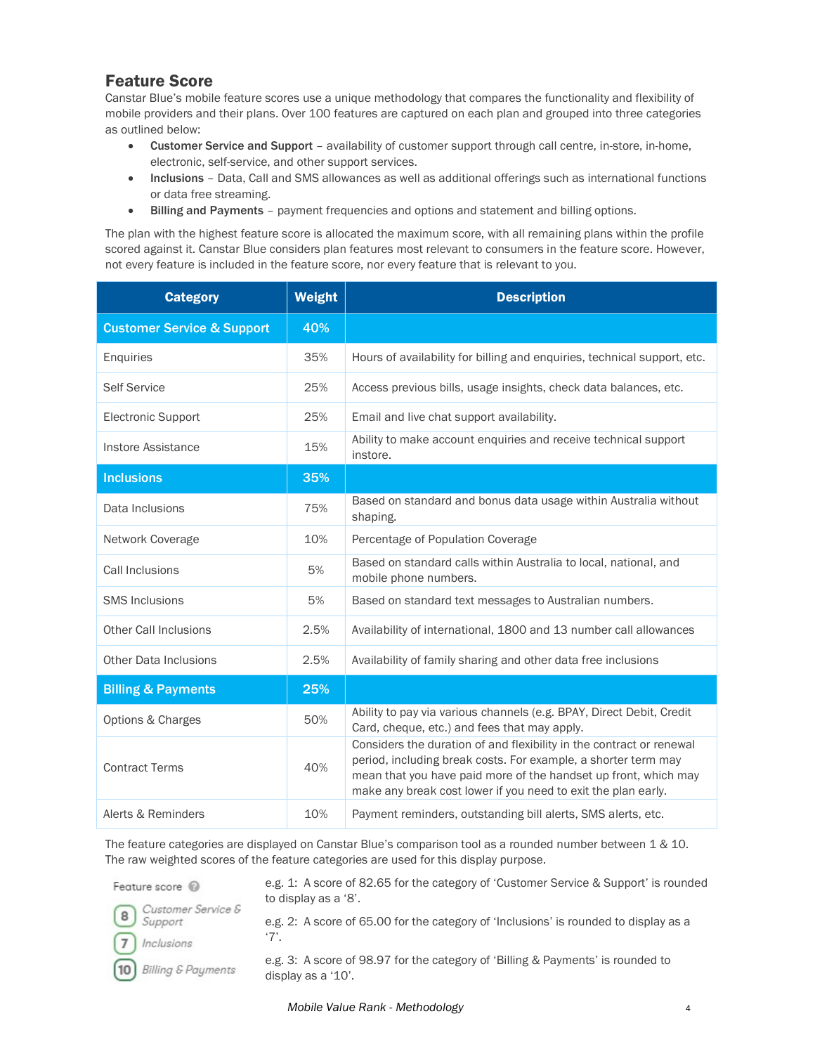#### Feature Score

Canstar Blue's mobile feature scores use a unique methodology that compares the functionality and flexibility of mobile providers and their plans. Over 100 features are captured on each plan and grouped into three categories as outlined below:

- Customer Service and Support availability of customer support through call centre, in-store, in-home, electronic, self-service, and other support services.
- Inclusions Data, Call and SMS allowances as well as additional offerings such as international functions or data free streaming.
- Billing and Payments payment frequencies and options and statement and billing options.

The plan with the highest feature score is allocated the maximum score, with all remaining plans within the profile scored against it. Canstar Blue considers plan features most relevant to consumers in the feature score. However, not every feature is included in the feature score, nor every feature that is relevant to you.

| <b>Category</b>                       | Weight | <b>Description</b>                                                                                                                                                                                                                                                         |
|---------------------------------------|--------|----------------------------------------------------------------------------------------------------------------------------------------------------------------------------------------------------------------------------------------------------------------------------|
| <b>Customer Service &amp; Support</b> | 40%    |                                                                                                                                                                                                                                                                            |
| Enquiries                             | 35%    | Hours of availability for billing and enquiries, technical support, etc.                                                                                                                                                                                                   |
| <b>Self Service</b>                   | 25%    | Access previous bills, usage insights, check data balances, etc.                                                                                                                                                                                                           |
| <b>Electronic Support</b>             | 25%    | Email and live chat support availability.                                                                                                                                                                                                                                  |
| Instore Assistance                    | 15%    | Ability to make account enquiries and receive technical support<br>instore.                                                                                                                                                                                                |
| <b>Inclusions</b>                     | 35%    |                                                                                                                                                                                                                                                                            |
| Data Inclusions                       | 75%    | Based on standard and bonus data usage within Australia without<br>shaping.                                                                                                                                                                                                |
| Network Coverage                      | 10%    | Percentage of Population Coverage                                                                                                                                                                                                                                          |
| Call Inclusions                       | 5%     | Based on standard calls within Australia to local, national, and<br>mobile phone numbers.                                                                                                                                                                                  |
| <b>SMS Inclusions</b>                 | 5%     | Based on standard text messages to Australian numbers.                                                                                                                                                                                                                     |
| Other Call Inclusions                 | 2.5%   | Availability of international, 1800 and 13 number call allowances                                                                                                                                                                                                          |
| <b>Other Data Inclusions</b>          | 2.5%   | Availability of family sharing and other data free inclusions                                                                                                                                                                                                              |
| <b>Billing &amp; Payments</b>         | 25%    |                                                                                                                                                                                                                                                                            |
| <b>Options &amp; Charges</b>          | 50%    | Ability to pay via various channels (e.g. BPAY, Direct Debit, Credit<br>Card, cheque, etc.) and fees that may apply.                                                                                                                                                       |
| <b>Contract Terms</b>                 | 40%    | Considers the duration of and flexibility in the contract or renewal<br>period, including break costs. For example, a shorter term may<br>mean that you have paid more of the handset up front, which may<br>make any break cost lower if you need to exit the plan early. |
| Alerts & Reminders                    | 10%    | Payment reminders, outstanding bill alerts, SMS alerts, etc.                                                                                                                                                                                                               |

The feature categories are displayed on Canstar Blue's comparison tool as a rounded number between 1 & 10. The raw weighted scores of the feature categories are used for this display purpose.

Feature score @

e.g. 1: A score of 82.65 for the category of 'Customer Service & Support' is rounded to display as a '8'.

Customer Service & 8 Support

 $10$ 

e.g. 2: A score of 65.00 for the category of 'Inclusions' is rounded to display as a

Inclusions  $\overline{7}$ 

**Billing & Payments** 

'7'. e.g. 3: A score of 98.97 for the category of 'Billing & Payments' is rounded to

display as a '10'.